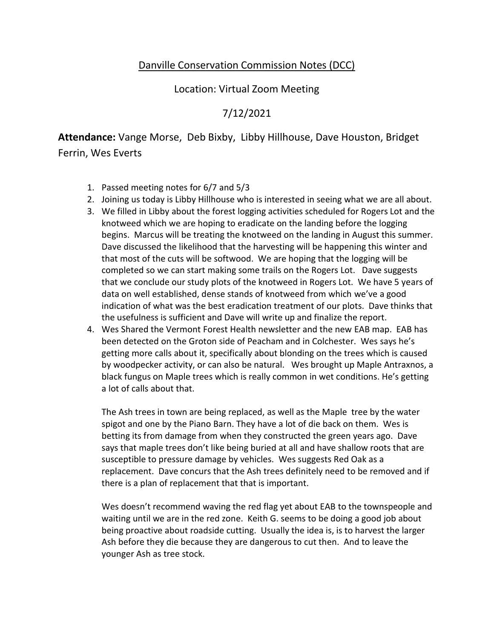## Danville Conservation Commission Notes (DCC)

## Location: Virtual Zoom Meeting

## 7/12/2021

**Attendance:** Vange Morse, Deb Bixby, Libby Hillhouse, Dave Houston, Bridget

Ferrin, Wes Everts

- 1. Passed meeting notes for 6/7 and 5/3
- 2. Joining us today is Libby Hillhouse who is interested in seeing what we are all about.
- 3. We filled in Libby about the forest logging activities scheduled for Rogers Lot and the knotweed which we are hoping to eradicate on the landing before the logging begins. Marcus will be treating the knotweed on the landing in August this summer. Dave discussed the likelihood that the harvesting will be happening this winter and that most of the cuts will be softwood. We are hoping that the logging will be completed so we can start making some trails on the Rogers Lot. Dave suggests that we conclude our study plots of the knotweed in Rogers Lot. We have 5 years of data on well established, dense stands of knotweed from which we've a good indication of what was the best eradication treatment of our plots. Dave thinks that the usefulness is sufficient and Dave will write up and finalize the report.
- 4. Wes Shared the Vermont Forest Health newsletter and the new EAB map. EAB has been detected on the Groton side of Peacham and in Colchester. Wes says he's getting more calls about it, specifically about blonding on the trees which is caused by woodpecker activity, or can also be natural. Wes brought up Maple Antraxnos, a black fungus on Maple trees which is really common in wet conditions. He's getting a lot of calls about that.

The Ash trees in town are being replaced, as well as the Maple tree by the water spigot and one by the Piano Barn. They have a lot of die back on them. Wes is betting its from damage from when they constructed the green years ago. Dave says that maple trees don't like being buried at all and have shallow roots that are susceptible to pressure damage by vehicles. Wes suggests Red Oak as a replacement. Dave concurs that the Ash trees definitely need to be removed and if there is a plan of replacement that that is important.

Wes doesn't recommend waving the red flag yet about EAB to the townspeople and waiting until we are in the red zone. Keith G. seems to be doing a good job about being proactive about roadside cutting. Usually the idea is, is to harvest the larger Ash before they die because they are dangerous to cut then. And to leave the younger Ash as tree stock.